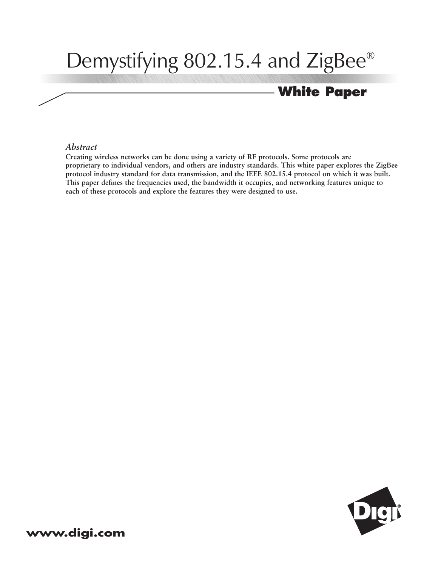# Demystifying 802.15.4 and ZigBee®

## **White Paper**

#### *Abstract*

**Creating wireless networks can be done using a variety of RF protocols. Some protocols are proprietary to individual vendors, and others are industry standards. This white paper explores the ZigBee protocol industry standard for data transmission, and the IEEE 802.15.4 protocol on which it was built. This paper defines the frequencies used, the bandwidth it occupies, and networking features unique to each of these protocols and explore the features they were designed to use.**

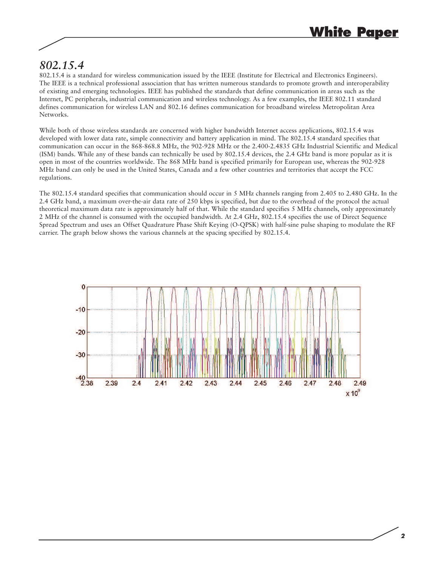### *802.15.4*

802.15.4 is a standard for wireless communication issued by the IEEE (Institute for Electrical and Electronics Engineers). The IEEE is a technical professional association that has written numerous standards to promote growth and interoperability of existing and emerging technologies. IEEE has published the standards that define communication in areas such as the Internet, PC peripherals, industrial communication and wireless technology. As a few examples, the IEEE 802.11 standard defines communication for wireless LAN and 802.16 defines communication for broadband wireless Metropolitan Area Networks.

While both of those wireless standards are concerned with higher bandwidth Internet access applications, 802.15.4 was developed with lower data rate, simple connectivity and battery application in mind. The 802.15.4 standard specifies that communication can occur in the 868-868.8 MHz, the 902-928 MHz or the 2.400-2.4835 GHz Industrial Scientific and Medical (ISM) bands. While any of these bands can technically be used by 802.15.4 devices, the 2.4 GHz band is more popular as it is open in most of the countries worldwide. The 868 MHz band is specified primarily for European use, whereas the 902-928 MHz band can only be used in the United States, Canada and a few other countries and territories that accept the FCC regulations.

The 802.15.4 standard specifies that communication should occur in 5 MHz channels ranging from 2.405 to 2.480 GHz. In the 2.4 GHz band, a maximum over-the-air data rate of 250 kbps is specified, but due to the overhead of the protocol the actual theoretical maximum data rate is approximately half of that. While the standard specifies 5 MHz channels, only approximately 2 MHz of the channel is consumed with the occupied bandwidth. At 2.4 GHz, 802.15.4 specifies the use of Direct Sequence Spread Spectrum and uses an Offset Quadrature Phase Shift Keying (O-QPSK) with half-sine pulse shaping to modulate the RF carrier. The graph below shows the various channels at the spacing specified by 802.15.4.

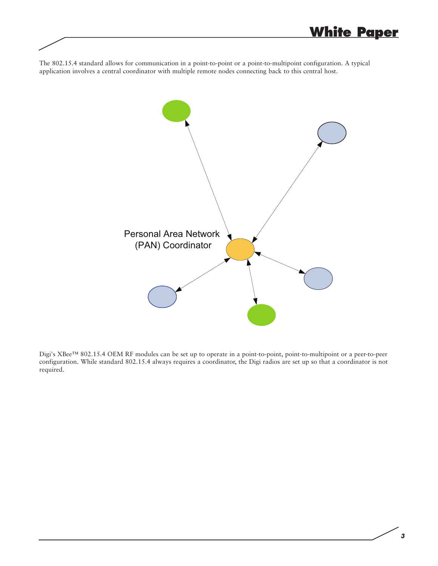The 802.15.4 standard allows for communication in a point-to-point or a point-to-multipoint configuration. A typical application involves a central coordinator with multiple remote nodes connecting back to this central host.



Digi's XBee™ 802.15.4 OEM RF modules can be set up to operate in a point-to-point, point-to-multipoint or a peer-to-peer configuration. While standard 802.15.4 always requires a coordinator, the Digi radios are set up so that a coordinator is not required.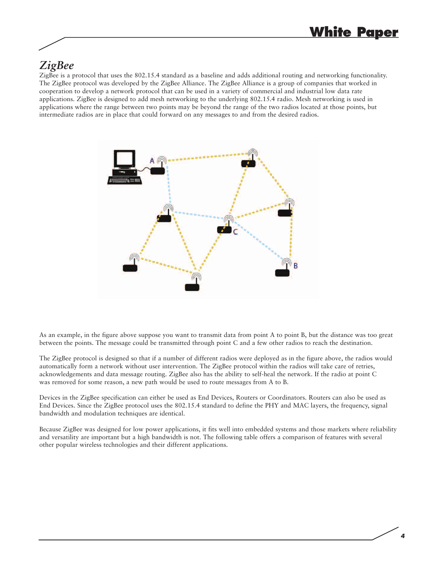### *ZigBee*

ZigBee is a protocol that uses the 802.15.4 standard as a baseline and adds additional routing and networking functionality. The ZigBee protocol was developed by the ZigBee Alliance. The ZigBee Alliance is a group of companies that worked in cooperation to develop a network protocol that can be used in a variety of commercial and industrial low data rate applications. ZigBee is designed to add mesh networking to the underlying 802.15.4 radio. Mesh networking is used in applications where the range between two points may be beyond the range of the two radios located at those points, but intermediate radios are in place that could forward on any messages to and from the desired radios.



As an example, in the figure above suppose you want to transmit data from point A to point B, but the distance was too great between the points. The message could be transmitted through point C and a few other radios to reach the destination.

The ZigBee protocol is designed so that if a number of different radios were deployed as in the figure above, the radios would automatically form a network without user intervention. The ZigBee protocol within the radios will take care of retries, acknowledgements and data message routing. ZigBee also has the ability to self-heal the network. If the radio at point C was removed for some reason, a new path would be used to route messages from A to B.

Devices in the ZigBee specification can either be used as End Devices, Routers or Coordinators. Routers can also be used as End Devices. Since the ZigBee protocol uses the 802.15.4 standard to define the PHY and MAC layers, the frequency, signal bandwidth and modulation techniques are identical.

Because ZigBee was designed for low power applications, it fits well into embedded systems and those markets where reliability and versatility are important but a high bandwidth is not. The following table offers a comparison of features with several other popular wireless technologies and their different applications.